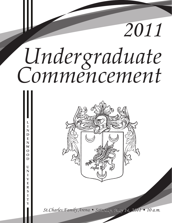# *Undergraduate Commencement*

**L I N D E N W O O D**

**U N I V E R S I T Y**

*2011*



*St.Charles Family Arena • Saturday, May 14, 2011 • 10 a.m. St.Charles Family Arena • Saturday, May 14, 2011 • 10 a.m.*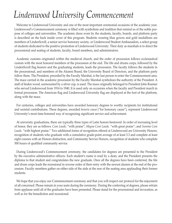# *Lindenwood University Commencement*

Welcome to Lindenwood University and one of the most important ceremonial occasions of the academic year. Lindenwood's Commencement ceremony is filled with symbolism and tradition that remind us of the noble purpose of colleges and universities. The academic dress worn by the students, faculty, boards, and platform party is described on the back inside cover of this program. Students wearing blue gowns and gold medallions are members of LindenScroll, a senior service honorary society, or Lindenwood Student Ambassadors, a select group of students dedicated to the positive promotion of Lindenwood University. Their duty as marshals is to direct the processional and seating of students, faculty, board members, and administrators.

Academic customs originated within the medieval church, and the order of procession follows ecclesiastical custom with the most honored members of the procession at the end. The fife and drums corps, followed by the LindenScroll flag bearers and the graduating students, leads the procession. The faculty follows the students in the processional, and members of the Alumni Board, the University Board of Directors, and the platform party follow them. The President, preceded by the Faculty Marshal, is the last person to enter the Commencement area. The mace carried in the academic procession by the Faculty Marshal symbolizes the authority of the President. A staff of linden wood, surmounted by a silver cup, is used. The mace originally belonged to President John Roemer who served Lindenwood from 1914 to 1940. It is used only on occasions when the faculty and President march in formal procession. The American flag and Lindenwood University flag are displayed at the foot of the platform, along with the mace.

For centuries, colleges and universities have awarded honorary degrees to worthy recipients for institutional and societal contributions. These degrees, awarded *honoris causa* ("for honorary cause"), represent Lindenwood University's most time-honored way of recognizing significant service and achievement.

At university graduations, there are typically three types of Latin honors bestowed. In order of increasing level of honor, they are as follows: *Cum Laude,* "with praise"; *Magna Cum Laude,* "with great praise"; and *Summa Cum Laude,* "with highest praise." Two additional forms of recognition offered at Lindenwood are University Honors, recognition of students who graduate with a cumulative grade-point average of at least 3.3 and complete at least eight courses with an Honors distinction, and Community Service Honors, recognition of students who complete 500 hours of qualified community service.

During Lindenwood's Commencement ceremony, the candidates for degrees are presented to the President by the executive administrative officers. Each student's name is read by a dean, and the President presents the diploma to that student and congratulates the new graduate. Once all the degrees have been conferred, the fife and drum corps leads the recessional in reverse order of their entry with the newest alumni at the end of the procession. Faculty members gather on either side of the aisle at the rear of the seating area applauding their former students.

We hope that you enjoy our Commencement ceremony and that you will respect our protocol for the enjoyment of all concerned. Please remain in your seats during the ceremony. During the conferring of degrees, please refrain from applause until all of the graduates have been presented. Please stand for the processional and invocation, as well as for the benediction and recessional.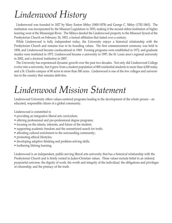# *Lindenwood History*

Lindenwood was founded in 1827 by Mary Easton Sibley (1800-1878) and George C. Sibley (1782-1863). The institution was incorporated by the Missouri Legislature in 1853, making it the second oldest institution of higher learning west of the Mississippi River. The Sibleys deeded the Lindenwood property to the Missouri Synod of the Presbyterian Church on February 24, 1853, a formal affiliation that lasted over a century.

While Lindenwood is fully independent today, the University enjoys a historical relationship with the Presbyterian Church and remains true to its founding values. The first commencement ceremony was held in 1858, and Lindenwood became coeducational in 1969. Evening programs were established in 1972, and graduate studies were instituted in 1975. Lindenwood became a university in 1997, the St. Louis area's regional university in 2002, and a doctoral institution in 2007.

The University has experienced dynamic growth over the past two decades. Not only did Lindenwood College evolve into a university, but it grew from a student population of 800 residential students to more than 4,000 today and a St. Charles campus of 80 acres to more than 500 acres. Lindenwood is one of the few colleges and universities in the country that remains debt-free.

# *Lindenwood Mission Statement*

Lindenwood University offers values-centered programs leading to the development of the whole person – an educated, responsible citizen of a global community.

Lindenwood is committed to

- providing an integrative liberal arts curriculum;
- offering professional and pre-professional degree programs;
- focusing on the talents, interests, and future of the student;
- supporting academic freedom and the unrestricted search for truth;
- affording cultural enrichment to the surrounding community;
- promoting ethical lifestyles;
- developing adaptive thinking and problem-solving skills;
- furthering lifelong learning.

Lindenwood is an independent, public-serving liberal arts university that has a historical relationship with the Presbyterian Church and is firmly rooted in Judeo-Christian values. These values include belief in an ordered, purposeful universe, the dignity of work, the worth and integrity of the individual, the obligations and privileges of citizenship, and the primacy of the truth.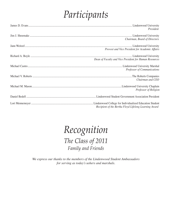# *Participants*

| President                                              |
|--------------------------------------------------------|
| Chairman, Board of Directors                           |
| Provost and Vice President for Academic Affairs        |
| Dean of Faculty and Vice President for Human Resources |
| Professor of Communications                            |
| Chairman and CEO                                       |
| Professor of Religion                                  |
|                                                        |
| Recipient of the Bertha Floyd Lifelong Learning Award  |

## *Recognition The Class of 2011 Family and Friends*

*We express our thanks to the members of the Lindenwood Student Ambassadors for serving as today's ushers and marshals.*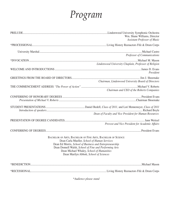# *Program*

|                                                                                                                                                                                                                                                                                                                           | Wm. Shane Williams, Director<br><b>Assistant Professor of Music</b> |  |
|---------------------------------------------------------------------------------------------------------------------------------------------------------------------------------------------------------------------------------------------------------------------------------------------------------------------------|---------------------------------------------------------------------|--|
|                                                                                                                                                                                                                                                                                                                           |                                                                     |  |
|                                                                                                                                                                                                                                                                                                                           | <b>Professor of Communications</b>                                  |  |
|                                                                                                                                                                                                                                                                                                                           | Lindenwood University Chaplain, Professor of Religion               |  |
|                                                                                                                                                                                                                                                                                                                           | President                                                           |  |
|                                                                                                                                                                                                                                                                                                                           | Chairman, Lindenwood University Board of Directors                  |  |
|                                                                                                                                                                                                                                                                                                                           | Chairman and CEO of the Roberts Companies                           |  |
|                                                                                                                                                                                                                                                                                                                           |                                                                     |  |
|                                                                                                                                                                                                                                                                                                                           |                                                                     |  |
|                                                                                                                                                                                                                                                                                                                           | Dean of Faculty and Vice President for Human Resources              |  |
|                                                                                                                                                                                                                                                                                                                           | Provost and Vice President for Academic Affairs                     |  |
|                                                                                                                                                                                                                                                                                                                           |                                                                     |  |
| BACHELOR OF ARTS, BACHELOR OF FINE ARTS, BACHELOR OF SCIENCE<br>Dean Carla Mueller, School of Human Services<br>Dean Ed Morris, School of Business and Entrepreneurship<br>Dean Donnell Walsh, School of Fine and Performing Arts<br>Dean Michael Whaley, School of Humanities<br>Dean Marilyn Abbott, School of Sciences |                                                                     |  |
|                                                                                                                                                                                                                                                                                                                           |                                                                     |  |
|                                                                                                                                                                                                                                                                                                                           |                                                                     |  |

*\*Audience please stand*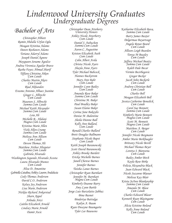# *Lindenwood University Graduates Undergraduate Degrees*

## *Bachelor of Arts*

*Christopher Abbott Ramin Abdulla Urfan Oglu Meagan Kristina Adamo Dawn Roshawn Adams Toriano Adarryl Adams Joseph Daniel Agnew Mayqueen Sename Agodzo Andrea Veronica Aguilar Bravo Rasha Fayez Ahmad Sharif Tiffany Christine Aiken Cum Laude Charles Martin Akers Cum Laude Riad Akhundov Erasmo Antonio Albaez Jeanine Ginger L. Albrecht Cum Laude Maureen S. Albrecht Summa Cum Laude Michael Keith Alexander Summa Cum Laude Leia Ali Michelle R.. Alidani Magna Cum Laude Kristina Marie Allen Vicki Allen-Crump Summa Cum Laude Melissa Ann Allison Cum Laude Devon Thomas Alt Matthew Arthur Altepeter Summa Cum Laude Gabriela Alvarado Washington Segundo Alvarado Acosta Laura Alvarado-Munoz Cum Laude Alisa D. Amantine Gabriella Catalina Ashley Lauren Andalucia Cody Thomas Anderson David C.O. Anderson Kelsey Joy Anderson Lisa Marie Anderson Nicklas Richard Ankarstad Sharn Appel Arlinda Arizi Caitlin Elizabeth Arnold Lindsey Marie Arnold Damir Ascic*

*Christopher Dean Atteberry University Honors Ashley Nicole Atterberry Cum Laude Daniel J. Aubuchon Summa Cum Laude Aaron C. Augustine Kristen Elizabeth Auth Cum Laude Colin Albert Avila Christa Nicole Ayers Shayla Anne Ayers Tyler Michael Babcock Hannes Backstrom Mary Ann Bahr Cum Laude Jennifer Lynn Bailey Cum Laude Amanda Rose Baker Summa Cum Laude Christina M. Baker Paul Bradley Baker Susan Elaine Baker Corina Jane Bakoylis Denise M .Balentine Sheila Dionne Ball Kelly Ann Ballard, Cum Laude Ronald Charles Ballard Brett Douglas Ballmann Stephanie Nicole Bapst Cum Laude Keith Joseph Baranowski Scott David Baranowski Ashley Brooke Bardett Ericka Michelle Barnes Janell Cherese Barnes Jennifer Barnes Tieisha Lanee Barnes Christopher Ryan Barnhart Jennifer M. Barnhart Magna Cum Laude Kimberly Deanne Barry Amy Lynn Bartle Jorge Luis Barzelatto Jabbaz Bina Basnet Binderiya Battulga Kailyn A. Baum Ryan Dwayne Baumgarte Tyler Lee Bauwens*

*Katharine Elizabeth Bava, Summa Cum Laude Barry James Baxter Delgermaa Bayartsogt Angela Renee Beard Cum Laude Allison Leigh Bearden Tonya M Beasley Cum Laude Jeffrey Michael Beatty Summa Cum Laude Kaleb Dale Becar Vermin Becirbegovic Gregor Becker Jacob John Beckerle Cum Laude Andrew Christian Bell Cum Laude Charles Bell Meagan Elizabeth Bell Jessica Catherine Benedick Cum Laude Carol Sue Bennett Summa Cum Laude Kimberly Marie Bennett Magna Cum Laude Scott M. Bennett Magna Cum Laude Matthew A. Berger Cum Laude Jennifer Nicole Bergmann Amber Marie Berkbuegler Brittany Nicole Bevill Michael Thomas Beyer Loretta J. Bienvenu Cum Laude Bailey Amber Birch Kayla Rose Birke Felicia Alexandria Black Juan Edward Black Nicole Suzanne Blaeuer Melissa Kay Blair Krista JoAnn Blankenship Summa Cum Laude Amanda M. Blase Cum Laude Charles Edward Blaser Kenneth Ryan Blasingame Cum Laude Alicia Kristine Boland Kelly Anne Boland Cum Laude*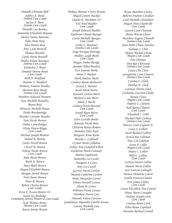*Danielle Christine Boll Jeffrey A. Bond Summa Cum Laude Jaclyn P. Bone Summa Cum Laude Danielle Lea Bonney Samantha Elizabeth Bonomo Sherley Yanna Bootsma Talia Anne Borg Alva Denise Bost Amy Lynn Boswell Thomas Bourdin Carrie Marie Bouselli Deidra Elaine Bowman Summa Cum Laude Katherine J. Boyer Amanda Denise Boyet Cum Laude Beth A. Bradford Shaunte S. Bradford Bethany Annette Bradley Shannon Rose Brady Summa Cum Laude Matthew Edward Bramow Tara Michelle Brandley Mansi Brat Brittany Michelle Braun Trisha Breckenridge Heather Lorraine Breeden Tara Nicole Brewer Debra Lynn Bridges Alysia Dawn Briggs Cum Laude Michael Joseph Brodeur Daniel B. Brooks Carlos Terrell Brown Cheryl M. Brown Felicia Nicole Brown Cum Laude Jada Marie Brown Mark A. Brown Mary Ruth Brown Megan Elizabeth Brown Morgan Aeriell Brown Neal Aaron Brown Peter R. Brown Robert Charles Brown Cum Laude Ezra E. Evans Brown III Sarah Joy Brubaker Community Service Honors & Cum Laude Kyle Thomas Bruns Summa Cum Laude Aaron Jeremy Bryant*

*Mekiya Shannie Ursery Bryant Abigail Lenore Buckles Charles E. Buckman III Eric Paul Buehler Cum Laude Joseph Edward Buehler Katherine Olinda Buenger Carrie Michelle Buerges Cum Laude Cathy L. Buettner Summa Cum Laude Jorge Enrique Buitrago Mallory Leigh Bunk Cum Laude Magan Amber Burdge Jennifer Ellen Burdick Eva Jeanene Burke Brian J. Burkett Mark Andrew Burle Lindsay Renae Burmester Jessica S. Burnitt Jacob Adam Burris Kenneth Corwin Burst Richard Louis Burts Adam J. Busby Lindsey Marie Bussard Cum Laude Joseph Ryan Busso Cum Laude Elise Costello Butler Amanda Nicole Butz Christina Renay Byman Brandon Tyler Byrd Margaret Anne Byrne Brenda L. Caldwell Crystal Marie Callahan Ashley Ann Campbell Elbert Katherine Marie Cannady Martin Capdeviole Samantha Lee Carder Margaret I. Carey Amy Lee Carich Garrett David Carlson Melanie Catherine Carlson Drew Alexander Carrier Ebony Donyell Carson Sheila D. Carter Whitney Nicole Caruso Matthew Aaron Cary Amanda Felicia Cassano Gundemaro Alejandro Castillo Ewens Lauren Michelle Cato Cum Laude*

*Bryan Matthew Cauley Roberto Andrew Cavallari Leah Michelle Chalabiani Megan Anne Charleville Cum Laude Lauren Lynn Chastain Maria Marcia Cheers Matthew Eugene Chiarelli Summa Cum Laude Juan Pablo Chiesa Sanchez Sashane L. Chin Denise Michele Chism Magna Cum Laude Elie Chitman Amy Rae Chitwood Summa Cum Laude Laura Chu Zhen Georgianna Lynn Clanton Summa Cum Laude Cynthia L. Clark Dorthea E. Clark Latonya Cherrie Clark Catherine Corcoran Clasby Manon Claux Magna Cum Laude Andrew L. Cleland Kali Renea Clement Cum Laude Elizabeth I. Cobb Michael Dale Cochran Summa Cum Laude Marcus Louis Cogman Jr. Casey S. Colbert Jacob Richard Colbert Jessica Rae Coleman Tina Lyn Coleman Jason P. Collet Magna Cum Laude Diana L. Collier Billy C. Collins Cum Laude LaToya Patrice Collins Shanda Marie Collins Jose Estevao Colnaghi Monica Demetria Colvin Caitlin Frances Condon Eric James Conley Cum Laude Laura Elizabeth Ann Conrad Diane Marie Consiglio Andrew Joseph Cook Cum Laude Lindsay Renee Cook Ellen Renee Copeland Brandon Richard Cornell*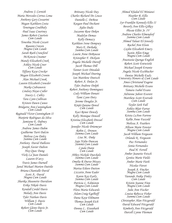*Andrew J. Cornish Maria Mercedes Correa Lema Anthony Gary Cossarini Megan Kathleen Costa Teneingue Coulibaly Paul Isaac Courtney James Robert Courtois Cum Laude Teneshia Nicole Cozart Raeann Craven Magna Cum Laude Sarah Ruth Crawford McKenzie Creamer Mandy Elizabeth Creek Ashley Nicole Creer Cum Laude Tiffany Kaye Crocker Megan Elizabeth Cronin Alan Michael Crook Lauren Elizabeth Crowder Marko Cubranovic Lindsey Hayes Culler Stacey L. Culley Tara Lynn Cullivan Kristen Dawn Cuneo Bridgette Ann Cunningham Cum Laude Reginald Victor Cunningham II Marjorie Rodrigues da Silva Jamisene E. Dabney Cum Laude Andrew James Dahm Guilherme Turri Dalcin Melissa Lou Daley Summa Cum Laude Anthony David Dallosto Joseph Xavier Dalton Huy Quoc Dang Vicki La'Jean Daniels Lauren D'arcy Travis James Darnell Jared Michael-Marion Dattilo Briana Chantalle David Scott A.. David Magna Cum Laude Sharika Shaunette Davidson Erika Nikole Davis Kendall Cordel Davis Melody Ann Davis Tyler Nathan Davis William J. Davis Cum Laude Robert Glenn Davis Jr. Cum Laude*

*Brittany Nicole Day Charles Richard De Leuze Danielle C. DeBose Keegan Paul Dechant Ajdin Dedic Suzanne Rose Deken Madelyn Demas Kelly Demazy Kathleen Irene Dempsey Mary E. Derhake Summa Cum Laude Laurie Anne DeRousse Kristopher F. Dickson Angela Michelle Dierolf Jacob Thomas Dill Tanner Scott Dinsdale Joseph Michael Doering Ian Matthew Doetsch Robert A. Dolan Jr. Tyler Andrew Dolph Robert Anthony Dominguez Cody William Donati Tami Lynn Doty Jerome Douglas Jr. Kinjii Quiana Dowd Cum Laude Kaci Renee Dowdy Kelly Monique Dowell Kristina Elizabeth Dressel Cum Laude Jennifer Nicole Driemeyer Robin L. Dronen Summa Cum Laude Lisa M.. Duke Saja Nylin Duncan Summa Cum Laude Lynda Dunn Cum Laude Abbey Nichole Durcholz Summa Cum Laude Omelia R Durso-Missey Summa Cum Laude Marisa Eileen Dutton Lizzette Anne Eader Karen Kay Early Summa Cum Laude Patricia L. Edmiston Magna Cum Laude Flora Maria Edwards Adam Craig Egelhoff Dana Kaye Ehlmann Thomas Joseph Eich Cum Laude Donna L.. Eisenbath Cum Laude*

*Ahmed Khaled El Miniawi Heather R .Ellis Cum Laude Syr-Franklin Kennedy Ellis II Beverly Ann Ellis-Gilkey Plessie Ellitt Jr. IV Andrew Charles Elmendorf Summa Cum Laude Ahmed Talaat El-Sewedy Rachel Ann Elson Caylin Elizabeth Emery Justin Allen Emge Magna Cum Laude Anastasia Quenga English Robert Scott Entwistle Michael Joseph Errante Angela Nicole Eschbacher Denise Michelle Eudy University Honors & Cum Laude Amos Christiand Eugene Brittany Michelle Evans Tamara Isabel Evans Adrienne Jahret Everett Matthew Scott Eversole Cum Laude Taylor Seth Fall Ashley Blair Farrar Summa Cum Laude Krista LeAnn Farrow Kellie Anne Faszold Melissa A. Feathers Allison Marie Fenster Magna Cum Laude Jacob William Ferguson Orlando K. Ferguson Paz Fernandez Sonia Fernandez Paul H. Ferrell Amber Jeanette Fetsch Genita Marie Fields Amber Marie Fieth Nicolas Fievet Joseph A. Fincher Magna Cum Laude Yaounde Anika Finley Cum Laude Kristin Joanne Finn Magna Cum Laude Julie Ann Fischer Louisa Rebecca Fisher Summa Cum Laude Christopher Alan Fitzgerald David Edward Fitzgerald Kimberly Ann Fitzgerald Darcell Lynne Fleeman*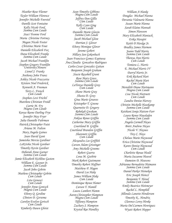*Heather Rose Fleener Taylor William Florence Jennifer Michelle Foerstel Darelle Scot Fontaine Kelly Nicole Ford, Summa Cum Laude Staci Yvonne Ford Maria Christine Fortney Megan Nicole Foster Christina Marie Fout Danielle Elizabeth Fox Dana Elizabeth Franke Summa Cum Laude Jacob Michael Franklin Stephen Gregory Franklin University Honors Lionel J. Franks Anthony John Franz Ashley Nicole Frazzetta Kristen Noel Frederick Kenneth A. Freeman Terry L. French Cum Laude Stephen Levi Frichtl Matthew Christian Froidl Carrie M. Fry Magna Cum Laude Kenya Reene Darling Frye Jennifer May Fryer Julia Danielle Fuhrman Patrick Christopher Fuist Ariana M. Fulton Mary Angela Gaines Sean David Gant Jameisha Mercia Gardiner LaKrisha Nicole Gardner Timothy Kevin Gardner Deborah Anne Garner Summa Cum Laude Jamie Elizabeth Kichline Gaston William E. Gaynor Jr. Summa Cum Laude Jacob John Gehrin Mathew Christopher Gehrin Cum Laude Leta Genasci Cum Laude Jennifer Anne Gentsch Magna Cum Laude Ebony Q. Gerdine Clinton D. Gersema Carolyn Evelyn Gertsch Cum Laude Kimberly Dawn Ghrist*

*Sean Timothy Gibbons Magna Cum Laude Jeffrey Don Gillis Cum Laude Kelly Lynn Ging Cum Laude Danielle Marie Glavin Summa Cum Laude Jacob Michael Glose Dorrian J. Glover Ebony Monique Glover Jerome Gobert Hillary Jan Gokenbach Juan Francisco Gomez Espinosa Ana Claudia Goncalves Rodrigues Carlos Cesar Gonzalez Gaitan Benjamin Joseph Graham Stacie Rayshell Grant Rose Mary Grass Summa Cum Laude LaTonya Danielle Gray Cum Laude Shane Marie Gray Shasta D. Gray Gina Marie Greaves Kristopher T. Greene Quarnette D. Gregory Rebekah Gresham Summa Cum Laude Ankisa Renee Griffin Catherine Mary Griffin Courtland B. Griffin Courtland Brandon Griffin Sharonett Griffin Cum Laude Alexandra Lee Griffith Carson Adam Grissinger Amy Michelle Grooms Robert Guerra Lena M. Guthrie Mark Robert Guttmann Timothy Robert Haffner Matthew P. Hagen David Lee Hake James William Hake Cum Laude Dominique Renee Hamer Carson T. Hamill Laura Lambert Hamm Aaron Christopher Hampton Magna Cum Laude Tiffaney Hampton Zachary J. Hampton Krystal Rae Handley*

*William A Hanke Douglas Michael Hanna Dovania Valenarie Hanna Susan Marie Hanna Sarah Elaine Hannah Simon Hansson Mary Elizabeth Hantack Erika Harajiri Keith D Hardge Jr. Bradley James Harmon Joann Todd Harris Summa Cum Laude Theresa Ann Harris Cum Laude Tomiera L. Harris E. Michael Harris IV Darryl Harris Jr. Erik Richard Hart Rachel Marie Hart Cum Laude Meredith Diane Hartmann Magna Cum Laude Lisa Nicole Hartnett Cum Laude Zandra Denise Harvey Christin Michelle Hasekamp Summa Cum Laude Keishani Sonja Hatton-Farr Laura Renee Hausladen Summa Cum Laude Angela Carmell Hayes Brett Andrew Hayes Nicole V. Haynes Trey C. Hays Chelsea Marie Haywood Erica Christine Haywood Karen Denise Haywood Cum Laude Charlotte Renae Heald Maria Suzanne Heavel Dameion D. Heavens Adrianna Bernadette Heimann Summa Cum Laude Daniel Parker Heineken Eric Joseph Heinzl Benjamin T. Heisel Summa Cum Laude Emily Beatrice Heitmeyer Rachel L. Hemphill Jillonda Lanette Henderson Timothy K.. Hendrix Clarence Leroy Henke Maria Del Carmen Henriquez Wyatt Robert Hepper*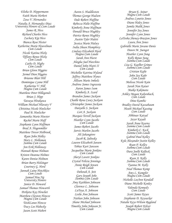*Elisha D. Heppermann Faith Marie Herbert Zeus V. Hernandez Natalia A. Hernandez Diaz University Honors & Cum Laude James R. Hess Richard Charles Hess Zachary Kip Hess Bianca Rose Hester Katherine Marie Heuvelman Cum Laude Nicole Katina Hicks Tiffany Renee Hicks Cum Laude Cathy D. Higby Cum Laude Brian Glenn Higgins Jermel Dion Higgins Brianne Blair Hill Dominique Lynne Hill Katherine V. Hill Magna Cum Laude Matthew Peter Hillegonds Brian J. Hipp Tatsuya Hirakawa William Michael Hlavaty V Christina Nicole Hoelscher Paul B. Hoelscher Samantha Marie Hoester Rachel Marie Hoff Stephanie Lynn Hoffman Brad A. Hogenmiller Matthew Trevor Holbrook Ryan John Holley Mary L. Holloman Summa Cum Laude Jon Erik Holloway Hannah Renee Holman Kristen Deanna Holmes Karen Denise Holmon Brian Barry Holsinger Courtney G. Hord Jannah Laine Hotchkiss Cum Laude Samuel Hou Ng University Honors Janice D. Howard Samuel Thomas Howarth Perkieta Kay Howliet Matthew Clayton Howze Magna Cum Laude TeishLanee Howze Tracy Lee Hubecky Jason Scott Hubert*

*Aaron S. Huddleston Thomas George Hudson Dale Robert Huffine Rebecca Halie Huffine Kimberly Anne Huffman Donald Bruce Hughley Patrice Renee Hughley Austin Tyler Hulett Jessica Marie Hulsey India Shean Humphrey Lindsay Elizabeth Hurd Magna Cum Laude Sarah Ann Hurst Aleigha Jael Hutchins Daniel John Hutti II Cum Laude Michellee Katrina Hyland Jeffrey Matthew Hynes Allison Marie Imholz Andrew James Ingrassia Aaron James Isom Kimberly A. Izard Brandon James Jackson Chaille Rena Casey Jackson Christopher James Jackson Danyelle S. Jackson Lori A. Jackson Marquis Terrell Jackson Heather Lynn Jacobs Cum Laude James Robert Jacobs Jarvis Marlon Jacobs Ali Jahangirov Jacob R. Jalinsky Lauren Elizabeth Jansen Tobias Kurt Jansson Jacqueline Marie Jenkins Cum Laude Sheryl Lavett Jenkins Crystal Felicia Jennings Annie Reigh Jensen Cum Laude Deborah A. Jett Gary Joseph Jobe Summa Cum Laude Amy Kathleen Johnson Clarence L. Johnson LaToya A. Johnson Leslie Ann Johnson Nathan John Johnson Shane Michael Johnson Timothy John Johnson Jr. Cum Laude*

*Bryan E. Joiner Magna Cum Laude Andrea Lynette Jones Diane Haley Jones Jamila Malik Jones Jennifer Joy Jones Jennifer Lynn Jones LaTosha Shenay-Braxton Jones Laura Ann Jones Gabrielle Marie Jovane Denis Dawn M. Juengst Heather Lynn Jung Kelly Renee Jung Summa Cum Laude Lisa G. Kaelber Grimes Summa Cum Laude Cristian Kafie John Jay Kahr Cum Laude Melissa Nicole Kain Sarah Nan Kaiser Maiko Kakimoto Ashley Megan Kaltenbach, Cum Laude Dino Kambic Bradley David Kassabaum Heath Michael Kassing Cum Laude Abhinav Katyal Sezer Kayali Sarah Anne Kearns Summa Cum Laude Kimberly C. Keck Summa Cum Laude Gabriel Paul Kelley Kyle Alexander Justin Kelley Ryan P. Kelley Summa Cum Laude Dara Joelle Kellock Cum Laude Ryan A. Kelly Summa Cum Laude Tyanna M. Kelly Neal Thomas Kemp Amy L. Kempfer Magna Cum Laude Nicholle LeeAnn Kendall Diane Michelle Kenley Yalonda Kennedy Cum Laude Scott James Keyes Stephanie D. Keysacker Natalie Keys-Wilson Ragland Joseph Robert Kilzer Magna Cum Laude*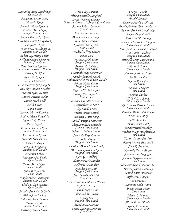*Katharine Anne Kimbrough Cum Laude Mckenzie Leann King Masashi Kinjo Amanda Marie Kirchner Lindsay Marie Kirk Magna Cum Laude Andrea Denise Kirkland Christina Marie Kirkpatrick Jennifer F. Kiser Arthur Bruce Kisslinger Jr. Summa Cum Laude Robert Jay Henry Klann Kolja Sebastion Klemkow Magna Cum Laude Tara Danielle Kluesner Community Service Honors Patrick M. Klug Kevin R. Knepper Miljan Knezevic Lawrence Henry Koenig III Timothy William Koerber Marissa Lynn Koester Lauren Patricia Kolar Kurtis Jacob Kolb Keith Kotan Lana Kotur Kareem Nasser Koueider Andrea Helen Kowalski Kenneth G. Kramer Davor Krasic William Andrew Kratz Summa Cum Laude Victoria Lou Krause Kendall Jana Kravec James A. Krejci Jackie A. Krigbaum Summa Cum Laude Kristijan Kristo Jacqueline M. Kudla Cum Laude Teresa Marie Kuper Cum Laude John D. Kutz III Cum Laude Kayla Marie LaBeaume Summa Cum Laude Linda L. LaBozzetta Cum Laude Natalie Michelle LaCaria Debra Ann Lackey Whitney Anne Ladwig Sandra Lafata Summa Cum Laude Brittany Alison Lamm*

*Megan Joy Lamont Trisha Danielle Langford Lydia Jeanette Langley University Honors & Magna Cum Laude Joshua Robert Lanham Cum Laude Emily Ann Lansche David Michael Lanxon Julie Anne Laramie Kathleen Ann Larsen Cum Laude Michael Jeffrey Larson Renzo Lau Melissa Leigh Laux Magna Cum Laude Melissa L. LaVear Magna Cum Laude Cassandra Kay Lawrence Sarah Elizabeth Leach University Honors & Cum Laude Nicole Marie Leahy Magna Cum Laude Tiffany Nicole Ledford Tameka Charnique Lee Cum Laude Devah Chantalle Leenheer Cassandra Eve Lehr Clay Landon Lein Jessica Marie Leitch Kristina Marie Leng Daniel Vaughn Letbetter Theresa Doreen Levinski Summa Cum Laude LeMorris Dejaun Lewins Sheryl LaFaye Lewins Lori M. Lewis Magna Cum Laude Charlene Diana Lewis-Clark Matthew Grossman Liess Magna Cum Laude Bjorn G. Lindberg Heather Marie Linden Kelly Marie Lindsey Heather Kay Link Magna Cum Laude Matthew David Link Cum Laude Lynette Nicole Listenbee-Nichols Kyle Lee Little Amanda Rae Litton Elizabeth D. Litzau Xiyang Liu Magna Cum Laude Brandon Lee Lococo Leyna Derouin Loechner Cum Laude*

*Cheryl L Loehr Magna Cum Laude Daniel Lopera Eugenia Maria LoPiccolo David Andrew Emerson Lottes Richard Michael Loughridge Angela Faye Lovett Katherine M. Loving Michael Christopher Ludgate Summa Cum Laude Carolyn Rose Ludwig-Allgeyer Ann Marie Luecking Magna Cum Laude Michelle Lynn Luensmann Summa Cum Laude Kevin P. Luna Summa Cum Laude Stephen Anthony Lupo Anethel Luster Kierra R. Luster Cum Laude Monica L. Luster Cum Laude Meghna Luthra Michael L. Lybarger Magna Cum Laude Christopher Patrick Lynne Summa Cum Laude Matthias Andre Maboungou Brinn A. Mabry Erin K. Mace Cherice Rene Mack Jamal Darnell Mackey Nathan Joseph Mackiewicz Cum Laude Tiffani Denine Macklin Rickey Wayne Maclin II Chad R. Maddox Kimberly Dawn Magee Amanda Lee Magoffin Amanda Kaylene Maguire Cum Laude Thomas Edward Maguire III Patrick Joseph Mahoney Joseph Barry Maixner Alfred M. Makene Selim Manav Adrienne Leila Mann Angela Marie Mann Cum Laude Nicole L. Manno Summa Cum Laude Alicia Dawn Mantz Grady B. Manus Summa Cum Laude*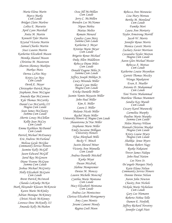*Maria Elena Marin Marcy Marks Cum Laude Bridget Claire Marlow Lolita E. Marsette April Lynn Marshall Anita M. Martin Kenneth Tyler Martin Krystal Victoria Martin Samuel Charles Martin Staci Lauren Martin Katherine Elizabeth Mason Monika Shantel Mason Christina M. Masterson Sharron Shontay Matkins Markus Matz Derrea LaNee May Kristy Lee May Cum Laude Derek E. Mayer Christopher Patrick Mayo Stephanie Anne McCague Amanda Rae McCannon Kyle Thomas McCarthy Daniel Leo McCarthy III Magna Cum Laude Sean James McClearey Summa Cum Laude Sherrie Lenay McClellan Kellie Jean McCoy Cum Laude Emma Kathleen McDaniel Cum Laude Patrick Michael McEnaney Eric Andrew McFarland Melissa Gayle McGhee Community Service Honors Jasmine Kelly McGill Jason Edward McGill Jared Ray McGowen Diane Yvonne McGraw Summa Cum Laude Joshua Michael McGrotty Holly Elizabeth McGuire Cum Laude Brent Patrick McIntosh Chanda LaKneka McKee Mark Alexander Klassen McKenzie Karen Marie McKinley Adrian Monique McKinney Christi Nicole McKinney Lorenzo Dow McKnelly III Amanda Kelly McMahon*

*Ocea Jill McMillan Cum Laude Jerry C. McMillen Brenden Lee McNamee Nipun Mehta Matias Melito Romain Menard Candice Lynn Metz Summa Cum Laude Katherine J. Meyer Kristine Marie Meyer Cum Laude Brigette Renee Michael Duke Allen Middleton Rebecca Diane Miles Cum Laude Donald Eugene Miles Jr. Summa Cum Laude Jeffrey Joseph Miliken Jr. Casey Miranda Miller David Lynn Miller Magna Cum Laude Ericka Danielle Miller Jasmin Yamin Mayasin Miller John Paul Miller Kim A. Miller Laura J. Miller Melanie Nicole Miller Rachel Marie Miller University Honors & Magna Cum Laude Shauntenna Ja'Nae Miller Stephanie Marie Miller Emily Suzanne Milligan University Honors Efua Ahenfuah Mills Becky V. Minch Justin Sherard Miner Victoria Ann Minnella Cum Laude Andrea Danielle Mitchell Kyoko Miyai Dusan Mizdrak Slabine Mompremier Denise M. Moncey Lauren Michelle Moncrief Cynthia Marie Montana Cum Laude Macy Elizabeth Montana Cum Laude Andrea Lee Montecinos Clarissa Elizabeth Montgomery Amy Lynn Montis Jerami Lamont Moody Regina Coeli Moon*

*Rebecca Ann Morawiec Lisa Mary Moreau Bertha M. Moreland Cum Laude Fumiko Mori Laura Ann Moriarty Taylor Armstrong Morrill Jacob W. Morris Jennifer Renee Morris Monica Lavett Morris Zachary Xavier Morrison Cassandra Taylor Morton Magna Cum Laude Aaron Glen Michael Mosier Rebecca A. Mottaz Cum Laude Katherine Louise Moynihan Garrett Thomas Mozley Wanga Mpakateni Evan A. Mueller Antonio D. Muhammad Cum Laude Toni Yvette Muhammad Matthew Thomas Mummert Sandra Kay Mundt Cum Laude Cezary Karol Murawski Carmelita Murphy Pauline Marie Murphy Summa Cum Laude Helen Murray Wilson Hannah Christine Musket Magna Cum Laude Kristy Louise Myers Magna Cum Laude Shahkia Jenee Myers Thomas Robert Nagy Ryoko Nakatani Trevor James Nalepa John Paul Nation Lee Nave Sr. De'angelo Marquis Neely Katie Elana Nelsen Community Service Honors Donnie Denise Nelson Aaron John Newton Chasity Ann Nichols Nickola Marie Nicholson Cum Laude Gary Lee Niemann Roberto Noboa Tello Damon E. Norfolk Jeffrey Richard Novotny Jennifer Leigh Nutt*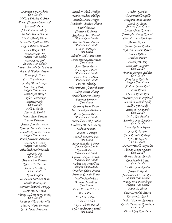*Shannon Renee Oberle Cum Laude Melissa Kristine O'Brien Emma Christine Odenwald Steven E. Ohlms John E. Olanowski Jr. Nichole Teresa Oldani Chastin Amity Oliver Samantha Kaitland Ollie Megan Patricia O'Neill Caleb Wayne Orf Natalie Rose Orf Magna Cum Laude Patricia M. Orf Summa Cum Laude Josimar Antonio Ortiz Lewis Richard William Ottens Kathryn A. Page Cassi Page-Morgan Ashley Marie Parker Irene Mary Parker Magna Cum Laude Jason Kyle Parker Taylor Lee Parker Bernard Parks Cum Laude Kelli L. Parks Shawn R. Parrish Jessica Rene Parsons Dianne Patterson Jessica Ann Patterson Kathryn Marie Patterson Michelle Renee Patterson Magna Cum Laude Monik Latrease Patterson Sandra L. Patzner Magna Cum Laude Elizabeth Marie Pautler Dana R. Pea Cum Laude Meghan Lee Pearson Rebecca D. Pearson Andrew Lee Peck Cum Laude Renee Peeples DeShonda LaNeice Penn Natalie Pennington Aurora Elizabeth Peregoy Sarah Marie Perez Shirley Delorse Perry-Wicks Cum Laude Jonathan Wesley Peterlin Lindsey Marie Petersen Jacob James Petersimes*

*Angela Nichole Phillips Pearle Michele Phillips Brenda Louise Phipps Stephanie Charlean Phipps Rachel Piazza Christina R. Pierce Stephanie Ann Pimmel Magna Cum Laude Heather Nicole Pinson Magna Cum Laude Carl W. Pittman Cum Laude Alandon Da'Marco Pitts Teresa Maria Serra Pizzo Cum Laude John Ethan Place Emily Grace Platt Magna Cum Laude Dennis Charles Plew Magna Cum Laude Lisa M. Plumley John-Michael Glenn Plummer Audrey Marie Plump Daniel Cameron Plump Deborah Poertner Cum Laude Courtney Irene Pogue Matthew Ryan Pohlman David Joseph Politte Magna Cum Laude Maehellena Polk-Harlan Catherine Marie Pomeroy Lukasz Pomian Candice C. Pompe Patrick James Ponseti Cum Laude Sarah Elizabeth Porch Summa Cum Laude Kevin D. Porter Summa Cum Laude Ophelie Mayliss Potelle Summa Cum Laude Robert Lee Powell Jr. Magna Cum Laude Jonathan Glenn Prange Brittany Camille Prater Jennifer Marie Preli Barbara Jean Price Cum Laude Paige Elizabeth Price Bryan Priest Erin Louise Prott Alex M. Pulos Amy Michelle Purcell Kyle Stephenson Pursell Cum Laude*

*Esther Quarshie Alicia Danielle Quillo Margaret Anne Rainey Linda K. Rains Summa Cum Laude Lindsey Noel Ramirez Christopher Blake Randall Ciera Latriece Randolph Andres Rangel Charles James Rankin Katarina Louise Rather Honey Rattan Mathias Rausch Phenika M. Ray Janet Ann Rayburn Cum Laude Deshae Raymey Redden Cum Laude Amy Kaye Redecker Magna Cum Laude Andrew James Reed Carlos Reeves Chevon Renae Reid Megan Kristine Reifsteck Jonathan Joseph Reilly Kelly Lynn Reilly Justin A. Reinhardt Cum Laude Jessica Rae Reinitz Sherrie Lynne Remphry Cum Laude Erica Rachelle Renes Jake K. Renfro Juan Ricardo Restrepo Kelly W. Revelle Cum Laude Sherise Danielle Reynolds Thomas James Reynoso Cum Laude Thomas Bauer Rhoads Gina Marie Richter Cum Laude Heather Ann Richter Joseph L. Right Jacqueline Christine Riley Summa Cum Laude Nancy Ann Rittenhouse Magna Cum Laude Karen A. Ritter Cesar Leopoldo Rivera Kariann L. Roach Jessica Yasmeen Roberson Calvin Dewayne Robertson Cum Laude Derrick Jay Robertson*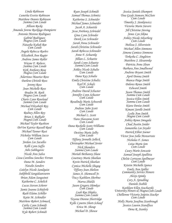*Linda Robinson Lunetha Evette Robinson Matthew Dennis Robinson Summa Cum Laude Allison Rocke Amanda Jorene Rocklage-Dompierre Antonio Moreno Rodriguez Gabriel Rodriguez Magna Cum Laude Natasha Kubah Roe Cum Laude Angela Rebecca Roehrs Elizabeth Ann Rogier Andrew James Roller Wayne F. Rolwes Summa Cum Laude Kirk Anthony Rose Magna Cum Laude Adarrious Maurice Ross Darlene Christle Ross Jeremy Ross Joan Michelle Ross Braden M. Roth Magna Cum Laude Charis Lynn Rowland Summa Cum Laude Michael Elizabeth Roy Cum Laude Rodney Allen Roy Brian J. Rufkahr Magna Cum Laude Michael Taylor Rushton DeVon Katrice Russell-Reed Michael Tanner Rust Nicholas William Sacco Cum Laude Jordan Lee Saculles Kelli Lynn Saffa Adis Sahbegovic Nicole Ann Salvo Lissa Carolina Sanchez Ferran Dana M. Sanders Natalie Sanders Caitlyn Nicole Sandquist Sukhbold Sangidaansuren Brian Adam Sanguinet Katherine C. Schelich Lucas Steven Scherer Jamie Joanne Schieferle Ruth Elaine Schiller Katie M. Schindler Matthew Robert Schmack Cathy Lynn Schmidt Summa Cum Laude Kyle Robert Schmidt*

*Ryan Joseph Schmidt Samuel Thomas Schmitz Katherine S. Schneider Michael James Schneider Jacob A. Schoettle Jesse Anthony Schriedel Gina Lynn Schroder Derek Lee Schroeder Sarah Anna Schroeder Sarah Christine Schroeder Sarah Rebecca Schroeder Anne F. Schuenke Jillian L. Schuette Sarah Lynn Schuette Summa Cum Laude Ashley Nicole Schulte Cum Laude Dana Kay Schulte Emily Christine Schultz Karl H. Schulz Cum Laude Andrew David Schuster Jennifer Lynn Schuster Cum Laude Rosalinda Marie Schwerdt Cum Laude Andrew John Scott Cum Laude Michael L. Scott Tiara Shavonne Scott Cum Laude Dana Rochelle Scott-Williams Cum Laude Destiny Marie Selby Cum Laude Tiffany Jennelle Selleck Christopher Michael Sevier Nick Shanders Summa Cum Laude Moriah Bethanny Shaw Courtney Marie Sheehan Kevin Patrick Sheehan Cymica Michelle Shegog Tiffany Jean Shelton James A. Shemwell Jr. Tracy Kathleen Sherbno Marva Shields Jason Gregory Shimkus Cum Laude Leah Rae Shipley Summa Cum Laude Tayona Dionne Shortridge Kylle Lynette Short-Schauf Erica M. Shoup Michael D. Shouse*

*Jessica Janiele Shumpert Tina Gayle Siemsen McClure Cum Laude Timothy J. Sienkiewicz Victoria Marie Sievers Jill Christine Sieving Jenee Lyn Sikma Ashley Nicole Silverberg Cum Laude Melissa J. Silverstein Michael Allen Simmons Simone Camiece Simmons Terkesha C. Singleton Matthew J. Slesarenko Patricia Anne Sloan Barbara Ann Smallwood Andrew Bryant Smith April Denna Smith Bianca Paige Smith Delores Renee Smith Edward Smith Jason Thomas Smith Summa Cum Laude Jessica Ellen Smith Summa Cum Laude Kiara Denise Smith Kimani Jarelle Smith Leslie Ann Smith Magna Cum Laude Ashley Renee Smugala Chad Austin Snider Samantha Lee Snyder Patrick Elliot Soener Victor Jose Solla Monserrate Nicholas F. Somes Leisa Marie Son Cum Laude Casey Marie Soncasie Samuel Joseph Spallitta Chelsie Lorrayne Spellmeyer Cum Laude Kristin Michelle Spence Emily Ann Spiller Community Service Honors Alexis Spinks Cory A. Spradling Daniele Stabile Kathleen Ellen Stachurski University Honors & Magna Cum Laude Chellienne Victoria Joijette Stacker Cum Laude Holly Maria Josefina Stanbrough Jessica Lauren Standfuss Dena R. Stanley*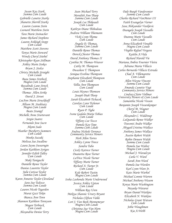*Susan Kay Stark Summa Cum Laude Gabrielle Lanette Starks Shanette Sherrill Starks Lauren Leanne Stein Leonard Matthew Stein Tara Marie Steinacher James Richard Stephens Lauren Ashleigh Stepp Cum Laude Matthew Scott Stevens Tanya Marie Steward Wendy Cheryl Stiebel Khristopher Ryan Stillman Ashley Marie Stokes Bryon J. Stolze Christy Michelle Straight Cum Laude Beau James Strebeck Magna Cum Laude Rozalinde Lane Streck Summa Cum Laude Thomas Allen Strike David J. Stroot LeeAnn Marie Struckhoff Allison M. Stuhlsatz Magna Cum Laude Beate Stumpf Michelle Anne Sturtevant Sergio Suarez Fernando Jose Sucre Akemi Sudo Heather Mayberry Summers Cum Laude Moeko Suzuki Melissa Sue Swallow Laura Jayne Swearngin Jordan Kathleen Syrigos Jennifer Edith Talley Cum Laude Maki Taniguchi Danielle Renee Taylor Danise Laurette Taylor Julie Carissa Taylor Summa Cum Laude Karen Annette Taylor Cleveland Sara Sue Tedesco Summa Cum Laude Lauren Nicole Tegarden Murat Gazi Tekin Bianca Ann Tenn Shannon Kathleen Tennyson Megan Terbrock Cum Laude Alexandria Denise Terry*

*Sean Michael Terry Meredith Ann Tharp Summa Cum Laude Joseph Lee Thibeault Cum Laude Kathryn Diane Thibodeau Andrew William Thiemann Vicki Lynn Thoma Cum Laude Angela D. Thomas, Summa Cum Laude Danielle Renee Thomas Dereck Chester Thomas David Anthony Thomas II Cynthia M. Thomas-Weaver Cathy M. Thompson Dwashon T. Thompson Seniqua Evelina Thompson Stephanie Elizabeth Thompson Cum Laude Tellia Ann Thompson Cum Laude Louis Haynes Thomson Joseph Diah Thorp Sarah Elizabeth Tichacek Carolyn Lynn Tichenor Cum Laude Ryan P. Tighe Ivone Gadala-Maria Tobias Cum Laude Tiffany Lee Tocco Pamela Kay Tope Summa Cum Laude Andrea Nichole Torrence Community Service Honors Herb Allen Torres Ashley Lynne Treece Sandra Tubo Cicely Katrece Turner Duanetta Rose Turner LaTrice Nicole Turner Tiffany Marie Turner Richard A. Turner Jr. Cum Laude Kyle Robert Tustin Magna Cum Laude Iesha Lashonda Marie Underwood Jessica Ashley Upton Cum Laude William Ray Uren Mekiya Shannic Ursery Bryant Nicholas Clifton Vahle Lori J. Van Beek-Mennemeyer Magna Cum Laude Christina Sue Van Horn Magna Cum Laude*

*Dale Burgh Vandeventer Summa Cum Laude Charles Richard VanMeter III Faith Evangelyn Varner Sasa Aleksandar Vasiljevic Deangelo Joseph Vassallo Cum Laude Deanna Marie Vassallo Cum Laude Anna Elizabeth Venable Magna Cum Laude Virgilio Rafael Vergara Kaitlin A.Vida Richard Harold Vie Mariana Ambra Fournier Vieira Adriana Maria Villacis Carlos Bernardo Villacis Estrada Chad A. Villemarette Cum Laude Allen Wayne Vincent Summa Cum Laude Amanda Lunette Vogt Community Service Honors Lindsay Claire Vollmar University Honors & Cum Laude Samantha Nicole Vossen Benjamin Joseph Vossenkemper Cheryl M. Wagner Cum Laude Alexander C. Waldroup LaQuanda Renee Walker Travonti Andre Walker Abygail Cristina Wallace Anthony James Wallace Austin Robert Walsh Robin Deneen Walsh Summa Cum Laude Pamela Sue Walter Magna Cum Laude Michael J. Waradzyn Carla V. Ward Sarah Ann Ward Pamela Sue Warden Karl Lynn Ware Jr. Kate Marie Warhol Michael Lonnie Warren Michael Anthony Wasem Kenya Marie Washington Mayuko Watarai Bryan Daniel Watkins Elizabeth N. Watkins Nicholas Grant Watson Cum Laude Jobie Waughman Kia A.Webb*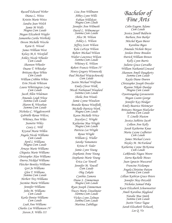*Russell Edward Weber Diana L. Weiss Kristin Marie Weiss Sandra Jean Welch Jamie M Wells Magna Cum Laude Megan Elizabeth Wepfer Samantha Carilu Werbiski Devon Michelle Wesche Katie E. Wessel James William West Kelsey M.A. Westfall Ashley Nicole Wheeler Cum Laude Shannon Wheeler Duane T. Whitaker Brittany Rose White Cum Laude William Cribbin White Erin Nicole Whitson Laura Whittington Long Cum Laude Jacob Allen Wideman Amanda Leigh Wiese Summa Cum Laude Sharon R. Wiesehan Summa Cum Laude Nicholas C. Wigglesworth Gabrielle Renae Wilcox Whitney Ann Wiles Jeanette Wiley Casey L. Will Krystal Marie Willen Angela Nicole Williams Cum Laude April L Williams Magna Cum Laude Arnaye Marie Williams Chiquita Marie Williams Christopher Alan Williams Deerra Nickkol Williams Fletcher Bentley Williams Geri Jo Williams Glen T. Williams Summa Cum Laude Herbert Trey Williams Jazmine Marie Williams Jennifer Williams John M. Williams Cum Laude Karla Denise Williams Cum Laude Leah Ann Williams Charles Lee Williamson IV Steven A. Willis III*

*Lisa Ann Willmann Abbey Lynn Wills Fabian Willskytt Magna Cum Laude Jennifer Ann Wilmoth David L. Wilmsmeyer Summa Cum Laude Alice M. Wilson Ashley L. Wilson Jeffrey Scott Wilson Kela LaFaye Wilson Robert Michael Wilson Walter Lawrence Wilson Summa Cum Laude Whitney E. Wilson Robert Francis Wilson IV Henry Gregory Wisnewski Paul Michael Wojciechowski Cum Laude Justin Michael Wolfrum Emily Clover Wolk Micah Nathanael Woodard Summa Cum Laude Sheila Ann Woods Jamie Lynne Woodson Brandie Renea Woolfolk Michelle Patricia Work Magna Cum Laude Karen Michelle Wrice Joycelyn C. Wright Katherine Mae Wright Magna Cum Laude Patricia Lee Wright Renee Wright William G. Wuller Satoko Yamamoto Krista P. Yoder Jamie Lynn Young Stephanie Anne Young Stephanie Marie Young Erica Lee Yowell Jennifer M. Yowell Cum Laude Oleg Zakala Cynthia Zamora Diane S. Zimmerman Magna Cum Laude Ryan Joseph Zimmerman Tracey Marie Zinselmeier Summa Cum Laude Vickey Lynn Zolman Summa Cum Laude Martina Zubillaga*

### *Bachelor of Fine Arts*

*Colin Eugene Adams Cum Laude Jessica Janell Baldwin Barbara Ann Barker Mitchel Ryan Bierer Karolina Bigos Amanda Nichole Boyce Jordan Drew Breeden Patrick William Brown Kelly Lynn Burris Juliette Grace Carvalho William Nathaniel Coward Shannon Ameli Daugherty Summa Cum Laude Kayla Diane Doeren Christopher Joseph Dressler Ryanne Nikole Dunlap Magna Cum Laude Oyuntungalag Gavaasuren Megan Leann George Jennifer Kay Heidger Emily Beatrice Heitmeyer Brittany Morgan Hoelscher Summa Cum Laude T. Linelle Huston Jessica Sublette Jacob Colleen Ann Kelly Sarah Katherine Knue Maria Layne Ledbetter Cum Laude James Michael Lewis Hayley M. McFarland Katherine Lynne McKenna Cum Laude LaRhonda Nagea Moore Sierra Rachelle Moses Juan Ignacio Muscarsel Francine Nzilampa Angela Christine Patton Summa Cum Laude Lillian Kathryn Grace Peters Jennifer May Petzoldt Nicholas Samuel Poku Kacie Elizabeth Schoenwetter Ameli Karolina Skoglund Natalie Mae Smith Summa Cum Laude Justin Vance Tague Sarah Elizabeth Tichacek Lee Q. Vo*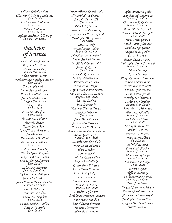*William Cribbin White Elizabeth Nicole Wickenhauser Cum Laude Aric Benjamin Williams Cum Laude John M.Williams Cum Laude Stefanie Barbara Wollenberg Summa Cum Laude*

### *Bachelor of Science*

*Ayodeji Lamar Adebayo Benjamin Lee Arlon Michele Nicole Ball Summa Cum Laude Adam Patrick Barron Bethany Raye Singleton Beamer Cum Laude Tonisha Nicole Bell Jordan Romney Bennett Kayla Michelle Bernich Sarah Marie Biermann Magna Cum Laude Vicki L. Bill Cum Laude Kevin Lee Blackburn Cum Laude Brittany Lea Blaske Brett R. Blythe Tiffani Joyce Bonds Kyle Nicholas Bosworth Alen Bradaric Kenneth Paul Bradford Phillip Andrew Bragg Cum Laude Andrew John Bram III Heather Lynn Brasfield Thompson Brodie-Amonoo Christopher Paul Brown Cum Laude Kelsey Lyn Brummer Summa Cum Laude Richard Bernard Buford Samantha Lee Byrd Jesus Enrique Caceres Benitez University Honors Lisa A. Calvarese Alasdair Campbell Tamara R. Campbell Cum Laude Daniel Matthew Carlisle Peter F. Caulfield Cum Laude*

*Jasmine Tremia Chamberlain Iliyan Dimitrov Chamov Antonio Chavez III Cum Laude Patrick J. Chiarella Timothy Terrell Cistrunk Te-Angela Michelle Clark-Banks Christopher M. Clohessy Cum Laude Tavan J. Cody Krystal Marie Collins Magna Cum Laude John Houston Colonder ll Jordan Michael Conner Ian Michael Coppersmith Steven C. Costin Cum Laude Michelle Renee Cotton Jeremy Michael Crane Michael Carl Crowder Stephane Dal Soglio Megan Alice Sharon Daniel Francois Salim Dau Herrera Magna Cum Laude Brett E. DiNovi Dule Djurasevic Matthew Thomas Dlugos Lisa Marie Doner Cum Laude Janie Marie Dowell Jed Douglas Driemeyer Tracy Michelle Duncan Shawn Michael Kenneth Dunn Alyson Genee Dykes Summa Cum Laude Danielle Nichole Echols Jeremy Lance Edgerson Adam Z. Ehlen Chris B. Eikel Christina Colleen Eime Megan Marie Emig Caitlin Rose Erickson Victor Diego Espinoza Brian Ashley Felgate Mario Fennoy Brian Michael Ferrari Tranada B. Finley Magna Cum Laude Matthew Kyle Firth Ida Yolanda Francisco-Stewart Anne Marie Franklin Rachel Leann Freeman Jennifer May Fryer Eileen R. Fuhrmann*

*Sophia Anastasia Galati John Richard Gatermann Magna Cum Laude Christopher R. Gebhardt Summa Cum Laude Aaron Michael Gervich Nicholas David Giacopelli Cum Laude Jamie Marie Gibison Sarah Marie Gildehaus Sandra Leigh Gilmer Jacqueline E. Gordon Carrie A. Gower Megan Leigh Grummel Christopher Brian Grunwald Summa Cum Laude Ishwor Gurung Kavita Gurung Alexis Katherine Gutterman Edward James Haar Nicole Denise Hackett Krystal Lynn Hagood Jason Anthony Hall Brooksy L. Halterman Kathryn L. Hamilton Summa Cum Laude James Patrick Hampson Trinity Lee Hardin Summa Cum Laude Nicholas W. Harper Cum Laude Jeremy Adam Harrell Richard E. Harris DeAnna R. Harvey Denise A. Haselhorst Cum Laude Shiori Hatayama Scott Louis Hayden Summa Cum Laude Adam Gregory Hayes Summa Cum Laude Stephanie Ann Hayes Cum Laude Bartosz Hejman Tiffany R. Henry Kathleen Diane Herrell Magna Cum Laude Dean Scott Hodge Chrystal Antionette Hogan Kenneth Jacob Horseman April Nicole Hosein-Reid Christopher Stephen House Gregory Matthew Howell Karl E. Hudson*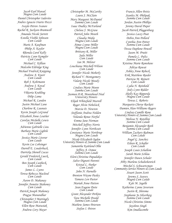*Jacob Earl Hunsel Magna Cum Laude Daniel Christopher Iadevito Andres Ignacio Iriarte Pozzi Ivaylo Petrov Ivanov Rachel R. Jackson-Bramwell Amanda Nicole Jarrett Estella Visible Johnson Cum Laude Marie A. Kaufman Philip A. Kaylor Rhonda Carol Kelly Patricia Lynn Kempfer Cum Laude Michael C. Killian Malcolm Eldridge King Michael Fredrick Knipping Andrew A. Knorr Cum Laude Rob J. Kohrmann Andrew J. Koval Cum Laude Viktoria Krahling Dilip Lama Michael R. Landen Justin Michael Lane Charlene R. Launuis Kevin Joseph LeGrand Elizabeth Anne Leuther Carolyn Michelle Lewis Cum Laude Adrienne Gabrielle Lieu Barbara Marie Lightle Cum Laude Jessica Marie Liverar Cum Laude Kevin Lee Lobsinger Darrell E. Louderback Darricka Shenell Lucas Gerald Frederick Lueck, Cum Laude Ben Joseph Lunbeck, Cum Laude James L. Lyons Teresa Rebecca Macleod Cum Laude Aaron D. Mahanay Jennifer Annette Mahoney Cum Laude Patrick Joseph Mahoney Pragya Manandhar Christopher J Mattingly Magna Cum Laude Ellen Rose Matusiak Andrew Cory Mayer*

*Christopher M. McCarthy Laura J. McClain Mary Margaret McDaniel Summa Cum Laude Isaac Dudley McFarland Chelsea J. McGraw Patrick John Meuth Claudia Mieke Magna Cum Laude Aimee Lynne Miller Magna Cum Laude Brittany R. Miller Jada Miller Cum Laude Ian M. Milster Louchiana Mitchell-Wilson Cum Laude Jennifer Nicole Moberly Richard V. Montgomery Valarie Nicole Moody Cum Laude Lindsey Marie Moore Summa Cum Laude Jasmun D.R. Moorehead-Neal University Honors Elijah Whitefield Murrell Roger Alvin Nebelsick Marcia D. Newton Steffanie Andrea Nolden Yolanda Renee Norful Emma Jane Norman Mitchell Jeffrey Norris Jennifer Lynn Northcutt Constance Marie Northrup Magna Cum Laude Nicole Elizabeth Ogden University Honors & Summa Cum Laude Samantha Kaitland Ollie Jeffrey A. Osmoe Summa Cum Laude Eleni Christina Papadakos Salvo Dignoti Parenti Kristal L. Parker Cum Laude John N. Parnello Brenton Wayne Pasley Tamara Len Pastor Mariah Anne Patton Sean Eugene Peete Cum Laude Grant Alexander Perkins Tara Michelle Pesold Summa Cum Laude Mathew James Petersen Stefan I. Petrov*

*Francis Allen Pettis Stanley M. Philipak Summa Cum Laude Jordan Austin Phillips Jeremy David Pieper Jacob Patrick Plaggenburg Jessica Lacey Poat Debra Ann Pollard Cynthia Ann Potter Summa Cum Laude Tressa Daphene Powell Jason M. Pruitt Pamela L. Pultz Summa Cum Laude Kristina Marie Ramshaw Aditya Rawat Ashley Anne Rebeck Erik Matthew Reeder Patricia M. Reinert Cum Laude Lydia N. Reinhold Jody Lynn Ridder Shelly Kay Ripperda Magna Cum Laude Teresa L. Roberts Marquette Cherye Rockett Damien Alan-Williams Rogers Lindsay Camille Rone University Honors & Summa Cum Laude Melissa N. Rotellini Summa Cum Laude Benjamin Alexander Roth Summa Cum Laude William Zachary Ruhman Cum Laude Angel G. Sanchez Eileen R. Schaller Cum Laude Joseph Louis Schallom Sarah Marie Schlau Jennifer Dawn Schuler Abby Marlene Schultehenrich Mitchel S. Schwartzman Community Service Honors & Cum Laude Stuart Jason Scott Jeremy S. Seavey Magna Cum Laude Kyle M. Segelle Katherine Lynne Severson Justin R. Shiroma Stephanie Jo Silverberg Summa Cum Laude Nicole Christine Simms Jayshree Singh Kim Smallacombe*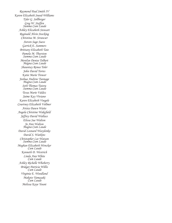*Raymond Paul Smith IV Karon Elizabeth Sneed-Williams Tyler G. Sollberger Greg W. Steffen Summa Cum Laude Ashley Elizabeth Stewart Reginald Alvin Stocking Christina M. Strawser Steven Sage Suess Garrick E. Summers Brittany Elizabeth Tate Pamela M. Thurston Summa Cum Laude Merelyn Denise Tolbert Magna Cum Laude Shauntay Renea Toler John David Torres Katie Marie Trower Joshua Andrew Tunnage Magna Cum Laude Seth Thomas Tutera Summa Cum Laude Tessa Marie Valdez Jaime Kay Viviano Karen Elizabeth Voegele Courtney Elizabeth Vollmer Arista Dawn Waite Angela Christine Wakefield Jeffrey David Wallace Elissa Sue Walton Jo Ann Walton Magna Cum Laude David Leonard Wasylenko David S. Watkins Christopher Lee Watson Summa Cum Laude Meghan Elizabeth Wencker Cum Laude Kenneth D. Westrich Linda Ann White Cum Laude Ashley Richelle Whoberry Bridget Patricia Willis Cum Laude Virginia E. Woodland Makoto Yamasaki Cum Laude Melissa Kaye Yount*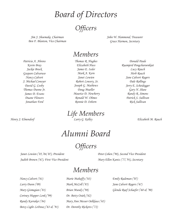*Board of Directors Officers*

*Jim J. Shoemake, Chairman Ben F. Blanton, Vice Chairman* *John W. Hammond, Treasurer Grace Harmon, Secretary*

#### *Members*

*Patricia A. Ahrens Kevin Bray Jackie Brock Gaspare Calvaruso Nancy Calvert J. Michael Conoyer David G. Cosby Thomas Dunne Jr. James D. Evans Duane Flowers Jonathan Ford*

*Henry J. Elmendorf*

*Thomas R. Hughes Elizabeth Huss James E. Issler Mark A. Kern Janet Lewien Robert Lowery, Sr. Joseph G. Mathews Doug Mueller Maurice D. Newberry Ronald W. Ohmes Ronnie D. Osborn*

*Life Members*

*Donald Paule Ruamjerd Pongcharoenkiat Lucy Rauch Herb Roach Jane Calvert Rogers Dale Rollings Jerry E. Scheidegger Gary N. Shaw Randy R. Simons Patrick S. Sullivan Rick Sullivan*

*Larry G. Kelley Elizabeth M. Rauch*

## *Alumni Board*

## *Officers*

*Janet Lewien ('85,'04,'07), President Judith Brown ('67), First Vice President* *Peter Cohen ('98), Second Vice President Mary Ellen Kantz ('77,'91), Secretary*

## *Members*

*Nancy Calvert ('61) Larry Dunn ('09) Mary Gismegian ('81) Cortney Hupper Lenk ('99) Randy Karraker ('84) Betsy Light LeDoux ('63 & '91)*

*Marie Mahaffy ('63) Mark McColl ('85) Brian Mundy ('98) Dr. Betty Osiek ('62) Mary Ann Messer Oelklaus ('65) Dr. Dorothy Ricketts ('72)*

*Emily Rademan ('07) Jane Calvert Rogers ('67) Glenda Raef Schaefer ('68 & '90)*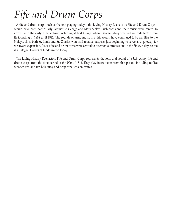# *Fife and Drum Corps*

A fife and drum corps such as the one playing today – the Living History Reenactors Fife and Drum Corps – would have been particularly familiar to George and Mary Sibley. Such corps and their music were central to army life in the early 19th century, including at Fort Osage, where George Sibley was Indian trade factor from its founding in 1808 until 1822. The sounds of army music like this would have continued to be familiar to the Sibleys, since both St. Louis and St. Charles were still relative outposts just beginning to serve as a gateway for westward expansion. Just as fife and drum corps were central to ceremonial processions in the Sibley's day, so too is it integral to ours at Lindenwood today.

The Living History Reenactors Fife and Drum Corps represents the look and sound of a U.S. Army fife and drums corps from the time period of the War of 1812. They play instruments from that period, including replica wooden six- and ten-hole fifes, and deep rope-tension drums.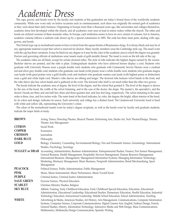## *Academic Dress*

The caps, gowns, and hoods worn by the faculty and students at this graduation are today's formal dress of the worldwide academic community. While now worn only on festive occasions such as commencement, such dress was originally the normal garb of academics as they went about their daily business. Originating in Europe more than a thousand years ago, like universities and colleges themselves, academic dress first developed within the church, and all academics were once at least in minor orders within the church. The robes and hoods are stylized versions of these monastic robes. In Europe, each institution seems to have its own variant of costume, but in America, academic costume follows a uniform code drawn up by a special commission in 1895. The code has three main parts, dealing with caps, gowns, and hoods.

The Oxford type cap or mortarboard seems to have evolved from the square biretta of Renaissance clergy. It is always black and may be of any appropriate material except that velvet is reserved for doctors. Many faculty members wear the Cambridge style cap. The tassel worn with the cap has three variations. It may be black for any degree or it may be the color of the academic area in which the degree was granted. Doctors and governing officials of institutions wear tassels made of gold metallic thread. The tassel is worn on the left side of the cap.

The academic robes are all black, except for certain doctoral robes. The style of robe indicates the highest degree earned by the wearer. Bachelor sleeves are pointed, and the robe is plain. Undergraduate students who have achieved honors display a cord. Students who graduate with University Honors wear a purple double cord; students who graduate with Community Service Honors wear a cardinal red and silver grey double cord; students who graduate cum laude (with praise) wear a white double cord; students who graduate magna cum laude (with great praise) wear a gold double cord; and students who graduate summa cum laude (with highest praise or distinction) wear a gold and white triple cord. Master's robe sleeves are oblong and longer. The doctoral robe features velvet bands in the front, and the robe sleeve also has velvet bands and is gathered at the wrist. The doctoral robe itself is cut much fuller than the other two gowns.

The hoods indicate the academic area of degree, the level of the degree, and the school that granted it. The level of the degree is shown by the size of the hood, the width of the velvet trimming, and in the case of the doctor, the shape. The master's, the specialist's, and the doctor's hoods are three and one-half feet, three and three-quarters feet, and four feet long, respectively. The velvet trimming in the same order is three, four, and five inches wide. The outer band of the hood indicates, by color, the degree; the bright, silken interior of the hood, by its colors and design, indicates its source. Each university and college has a distinct hood. The Lindenwood University hood is lined with white and yellow silk, representing the University's colors.

The colors of the mortarboard tassels worn by today's degree recipients, as well as the hoods worn by faculty and graduate students, indicate the major fields of study.

| <b>BROWN</b>      | Acting, Dance, Directing-Theatre, Musical Theatre, Performing Arts, Studio Art, Tech Theatre/Design, Theatre,<br>Theatre Arts Management                                                                                                                                                                                                                                                                                                                          |
|-------------------|-------------------------------------------------------------------------------------------------------------------------------------------------------------------------------------------------------------------------------------------------------------------------------------------------------------------------------------------------------------------------------------------------------------------------------------------------------------------|
| <b>CITRON</b>     | Social Work                                                                                                                                                                                                                                                                                                                                                                                                                                                       |
| <b>COPPER</b>     | Economics                                                                                                                                                                                                                                                                                                                                                                                                                                                         |
| <b>CRIMSON</b>    | Journalism                                                                                                                                                                                                                                                                                                                                                                                                                                                        |
| <b>DARK BLUE</b>  | Philosophy                                                                                                                                                                                                                                                                                                                                                                                                                                                        |
| <b>GOLD</b>       | Biology, Chemistry, Counseling, Environmental Biology, Fire and Paramedic Science, Gerontology, International                                                                                                                                                                                                                                                                                                                                                     |
|                   | Studies, Psychology, Sociology                                                                                                                                                                                                                                                                                                                                                                                                                                    |
|                   | NUGGET or DRAB Accounting, Administration, Business Administration, Entrepreneurial Studies, Finance, Fire Science Management,<br>General Business, Health Management, Hospitality Services Management, Human Resource Management,<br>International Business, Management, Management Information Systems, Managing Information Technology,<br>Marketing, Mortuary Management, Music Business, Nonprofit Administration, Retail Merchandising, Sport<br>Management |
| <b>PEACOCK</b>    | Political Science, Public Administration, Public Management                                                                                                                                                                                                                                                                                                                                                                                                       |
| <b>PINK</b>       | Music, Music-Instrumental, Music Performance, Music-Vocal/Choral                                                                                                                                                                                                                                                                                                                                                                                                  |
| <b>PURPLE</b>     | Criminal Justice, Criminal Justice Administration                                                                                                                                                                                                                                                                                                                                                                                                                 |
| <b>SAGE GREEN</b> | Exercise Science, Physical Education                                                                                                                                                                                                                                                                                                                                                                                                                              |
| <b>SCARLET</b>    | Christian Ministry Studies, Religion                                                                                                                                                                                                                                                                                                                                                                                                                              |
| <b>SKY BLUE</b>   | Athletic Training, Early Childhood Education, Early Childhood Special Education, Education, Educational<br>Administration, Educational Leadership, Educational Studies, Elementary Education, Health Education, Industrial<br>Technology Education, Instructional Leadership, Middle School Education, School Administration, Teaching                                                                                                                            |
| <b>WHITE</b>      | Advertising & Media, American Studies, Art History, Arts Management, Communications, Computer Information<br>Systems, Computer Science, Corporate Communications, Digital Cinema Arts, English, Fashion Design, French,<br>General Studies, History, Information Technology, Interactive Media and Web Design, Mass Communications,<br>Mathematics, Multimedia Design Communication, Spanish, Writing                                                             |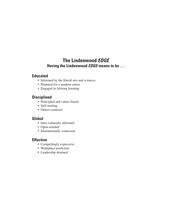#### **The Lindenwood** *EDGE* **Having the Lindenwood** *EDGE* **means to be . . .**

#### **Educated**

- Informed by the liberal arts and sciences
- Prepared for a modern career
- Engaged in lifelong learning

#### **Disciplined**

- Principled and values-based
- Self-starting
- Others-centered

#### **Global**

- Inter-culturally informed
- Open-minded
- Internationally connected

#### **Effective**

- Compellingly expressive
- Workplace proficient
- Leadership destined